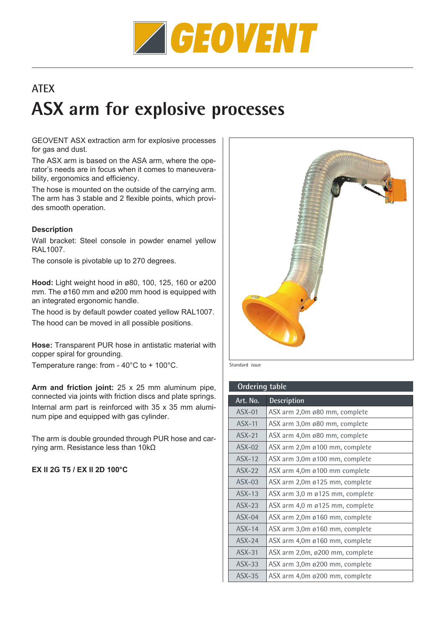

# **ATEX ASX arm for explosive processes**

GEOVENT ASX extraction arm for explosive processes for gas and dust.

The ASX arm is based on the ASA arm, where the operator's needs are in focus when it comes to maneuverability, ergonomics and efficiency.

The hose is mounted on the outside of the carrying arm. The arm has 3 stable and 2 flexible points, which provides smooth operation.

### **Description**

Wall bracket: Steel console in powder enamel yellow RAL1007.

The console is pivotable up to 270 degrees.

**Hood:** Light weight hood in ø80, 100, 125, 160 or ø200 mm. The ø160 mm and ø200 mm hood is equipped with an integrated ergonomic handle.

The hood is by default powder coated yellow RAL1007. The hood can be moved in all possible positions.

**Hose:** Transparent PUR hose in antistatic material with copper spiral for grounding.

Temperature range: from - 40°C to + 100°C.

**Arm and friction joint:** 25 x 25 mm aluminum pipe, connected via joints with friction discs and plate springs. Internal arm part is reinforced with 35 x 35 mm aluminum pipe and equipped with gas cylinder.

The arm is double grounded through PUR hose and carrying arm. Resistance less than 10kΩ

**EX II 2G T5 / EX II 2D 100°C**



Standard issue

| <b>Ordering table</b> |                                 |  |  |  |
|-----------------------|---------------------------------|--|--|--|
| Art. No.              | <b>Description</b>              |  |  |  |
| $ASX-01$              | ASX arm 2,0m ø80 mm, complete   |  |  |  |
| $ASX-11$              | ASX arm 3,0m ø80 mm, complete   |  |  |  |
| $ASX-21$              | ASX arm 4,0m ø80 mm, complete   |  |  |  |
| $\text{ASX}-02$       | ASX arm 2,0m ø100 mm, complete  |  |  |  |
| $ASX-12$              | ASX arm 3,0m ø100 mm, complete  |  |  |  |
| $ASX-22$              | ASX arm 4,0m ø100 mm complete   |  |  |  |
| $\text{ASX}-03$       | ASX arm 2,0m ø125 mm, complete  |  |  |  |
| $ASX-13$              | ASX arm 3,0 m ø125 mm, complete |  |  |  |
| $ASX-23$              | ASX arm 4,0 m ø125 mm, complete |  |  |  |
| $ASX-04$              | ASX arm 2,0m ø160 mm, complete  |  |  |  |
| $ASX-14$              | ASX arm 3,0m ø160 mm, complete  |  |  |  |
| $ASX-24$              | ASX arm 4,0m ø160 mm, complete  |  |  |  |
| $ASX-31$              | ASX arm 2,0m, ø200 mm, complete |  |  |  |
| $ASX-33$              | ASX arm 3,0m ø200 mm, complete  |  |  |  |
| $ASX-35$              | ASX arm 4,0m ø200 mm, complete  |  |  |  |